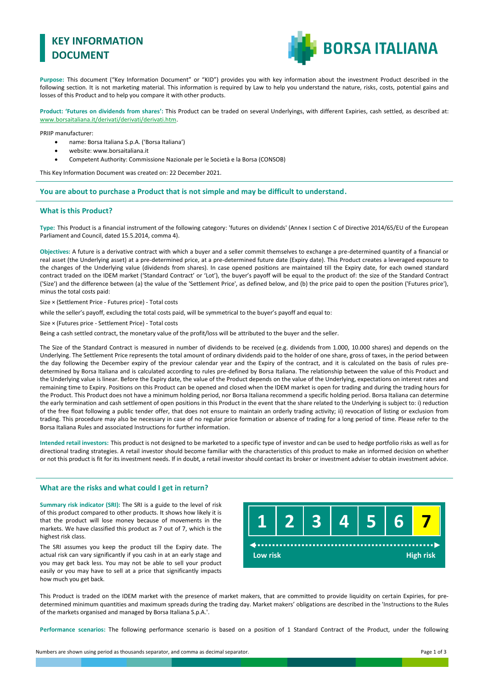# **KEY INFORMATION DOCUMENT**



**Purpose:** This document ("Key Information Document" or "KID") provides you with key information about the investment Product described in the following section. It is not marketing material. This information is required by Law to help you understand the nature, risks, costs, potential gains and losses of this Product and to help you compare it with other products.

**Product: 'Futures on dividends from shares':** This Product can be traded on several Underlyings, with different Expiries, cash settled, as described at: [www.borsaitaliana.it/derivati/derivati/derivati.htm.](http://www.borsaitaliana.it/derivati/derivati/derivati.htm)

PRIIP manufacturer:

- name: Borsa Italiana S.p.A. ('Borsa Italiana')
- website: www.borsaitaliana.it
- Competent Authority: Commissione Nazionale per le Società e la Borsa (CONSOB)

This Key Information Document was created on: 22 December 2021.

**You are about to purchase a Product that is not simple and may be difficult to understand.**

#### **What is this Product?**

**Type:** This Product is a financial instrument of the following category: 'futures on dividends' (Annex I section C of Directive 2014/65/EU of the European Parliament and Council, dated 15.5.2014, comma 4).

**Objectives:** A future is a derivative contract with which a buyer and a seller commit themselves to exchange a pre-determined quantity of a financial or real asset (the Underlying asset) at a pre-determined price, at a pre-determined future date (Expiry date). This Product creates a leveraged exposure to the changes of the Underlying value (dividends from shares). In case opened positions are maintained till the Expiry date, for each owned standard contract traded on the IDEM market ('Standard Contract' or 'Lot'), the buyer's payoff will be equal to the product of: the size of the Standard Contract ('Size') and the difference between (a) the value of the 'Settlement Price', as defined below, and (b) the price paid to open the position ('Futures price'), minus the total costs paid:

Size × (Settlement Price - Futures price) - Total costs

while the seller's payoff, excluding the total costs paid, will be symmetrical to the buyer's payoff and equal to:

Size × (Futures price - Settlement Price) - Total costs

Being a cash settled contract, the monetary value of the profit/loss will be attributed to the buyer and the seller.

The Size of the Standard Contract is measured in number of dividends to be received (e.g. dividends from 1.000, 10.000 shares) and depends on the Underlying. The Settlement Price represents the total amount of ordinary dividends paid to the holder of one share, gross of taxes, in the period between the day following the December expiry of the previour calendar year and the Expiry of the contract, and it is calculated on the basis of rules predetermined by Borsa Italiana and is calculated according to rules pre-defined by Borsa Italiana. The relationship between the value of this Product and the Underlying value is linear. Before the Expiry date, the value of the Product depends on the value of the Underlying, expectations on interest rates and remaining time to Expiry. Positions on this Product can be opened and closed when the IDEM market is open for trading and during the trading hours for the Product. This Product does not have a minimum holding period, nor Borsa Italiana recommend a specific holding period. Borsa Italiana can determine the early termination and cash settlement of open positions in this Product in the event that the share related to the Underlying is subject to: i) reduction of the free float following a public tender offer, that does not ensure to maintain an orderly trading activity; ii) revocation of listing or exclusion from trading. This procedure may also be necessary in case of no regular price formation or absence of trading for a long period of time. Please refer to the Borsa Italiana Rules and associated Instructions for further information.

**Intended retail investors:** This product is not designed to be marketed to a specific type of investor and can be used to hedge portfolio risks as well as for directional trading strategies. A retail investor should become familiar with the characteristics of this product to make an informed decision on whether or not this product is fit for its investment needs. If in doubt, a retail investor should contact its broker or investment adviser to obtain investment advice.

### **What are the risks and what could I get in return?**

**Summary risk indicator (SRI):** The SRI is a guide to the level of risk of this product compared to other products. It shows how likely it is that the product will lose money because of movements in the markets. We have classified this product as 7 out of 7, which is the highest risk class.

The SRI assumes you keep the product till the Expiry date. The actual risk can vary significantly if you cash in at an early stage and you may get back less. You may not be able to sell your product easily or you may have to sell at a price that significantly impacts how much you get back.



This Product is traded on the IDEM market with the presence of market makers, that are committed to provide liquidity on certain Expiries, for predetermined minimum quantities and maximum spreads during the trading day. Market makers' obligations are described in the 'Instructions to the Rules of the markets organised and managed by Borsa Italiana S.p.A.'.

**Performance scenarios:** The following performance scenario is based on a position of 1 Standard Contract of the Product, under the following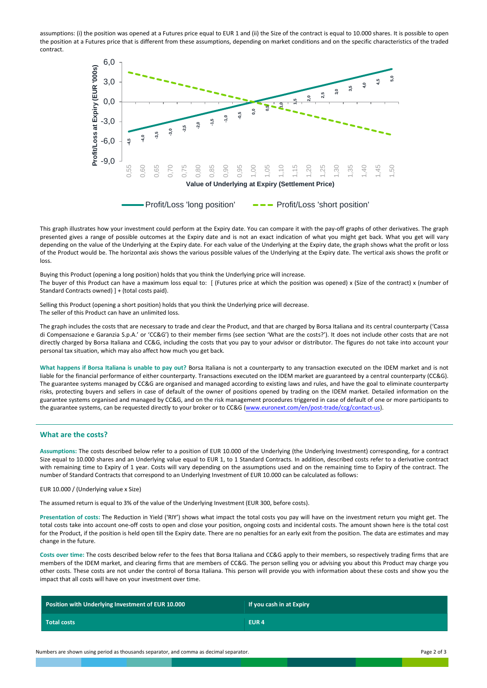assumptions: (i) the position was opened at a Futures price equal to EUR 1 and (ii) the Size of the contract is equal to 10.000 shares. It is possible to open the position at a Futures price that is different from these assumptions, depending on market conditions and on the specific characteristics of the traded contract.



This graph illustrates how your investment could perform at the Expiry date. You can compare it with the pay-off graphs of other derivatives. The graph presented gives a range of possible outcomes at the Expiry date and is not an exact indication of what you might get back. What you get will vary depending on the value of the Underlying at the Expiry date. For each value of the Underlying at the Expiry date, the graph shows what the profit or loss of the Product would be. The horizontal axis shows the various possible values of the Underlying at the Expiry date. The vertical axis shows the profit or loss

Buying this Product (opening a long position) holds that you think the Underlying price will increase. The buyer of this Product can have a maximum loss equal to: [ (Futures price at which the position was opened) x (Size of the contract) x (number of Standard Contracts owned) ] + (total costs paid).

Selling this Product (opening a short position) holds that you think the Underlying price will decrease. The seller of this Product can have an unlimited loss.

The graph includes the costs that are necessary to trade and clear the Product, and that are charged by Borsa Italiana and its central counterparty ('Cassa di Compensazione e Garanzia S.p.A.' or 'CC&G') to their member firms (see section 'What are the costs?'). It does not include other costs that are not directly charged by Borsa Italiana and CC&G, including the costs that you pay to your advisor or distributor. The figures do not take into account your personal tax situation, which may also affect how much you get back.

**What happens if Borsa Italiana is unable to pay out?** Borsa Italiana is not a counterparty to any transaction executed on the IDEM market and is not liable for the financial performance of either counterparty. Transactions executed on the IDEM market are guaranteed by a central counterparty (CC&G). The guarantee systems managed by CC&G are organised and managed according to existing laws and rules, and have the goal to eliminate counterparty risks, protecting buyers and sellers in case of default of the owner of positions opened by trading on the IDEM market. Detailed information on the guarantee systems organised and managed by CC&G, and on the risk management procedures triggered in case of default of one or more participants to the guarantee systems, can be requested directly to your broker or to CC&G [\(www.euronext.com/en/post-trade/ccg/contact-us\)](http://www.lseg.com/markets-products-and-services/post-trade-services/ccp-services/ccg/about-ccg-spa/contact-ccg).

## **What are the costs?**

**Assumptions:** The costs described below refer to a position of EUR 10.000 of the Underlying (the Underlying Investment) corresponding, for a contract Size equal to 10.000 shares and an Underlying value equal to EUR 1, to 1 Standard Contracts. In addition, described costs refer to a derivative contract with remaining time to Expiry of 1 year. Costs will vary depending on the assumptions used and on the remaining time to Expiry of the contract. The number of Standard Contracts that correspond to an Underlying Investment of EUR 10.000 can be calculated as follows:

EUR 10.000 / (Underlying value x Size)

The assumed return is equal to 3% of the value of the Underlying Investment (EUR 300, before costs).

**Presentation of costs:** The Reduction in Yield ('RIY') shows what impact the total costs you pay will have on the investment return you might get. The total costs take into account one-off costs to open and close your position, ongoing costs and incidental costs. The amount shown here is the total cost for the Product, if the position is held open till the Expiry date. There are no penalties for an early exit from the position. The data are estimates and may change in the future.

**Costs over time:** The costs described below refer to the fees that Borsa Italiana and CC&G apply to their members, so respectively trading firms that are members of the IDEM market, and clearing firms that are members of CC&G. The person selling you or advising you about this Product may charge you other costs. These costs are not under the control of Borsa Italiana. This person will provide you with information about these costs and show you the impact that all costs will have on your investment over time.

| Position with Underlying Investment of EUR 10.000 | If you cash in at Expiry |
|---------------------------------------------------|--------------------------|
| Total costs                                       | EUR <sub>4</sub>         |